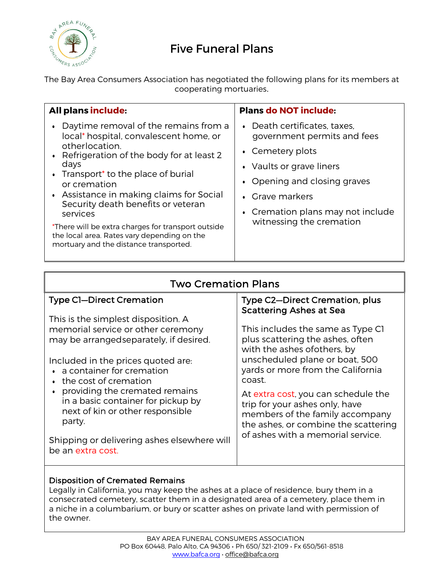

# Five Funeral Plans

The Bay Area Consumers Association has negotiated the following plans for its members at cooperating mortuaries.

| All plans include:                                                                                                                                                                                                                                                                                                                                                                                                                                                      | <b>Plans do NOT include:</b>                                                                                                                                                                                                    |
|-------------------------------------------------------------------------------------------------------------------------------------------------------------------------------------------------------------------------------------------------------------------------------------------------------------------------------------------------------------------------------------------------------------------------------------------------------------------------|---------------------------------------------------------------------------------------------------------------------------------------------------------------------------------------------------------------------------------|
| Daytime removal of the remains from a<br>local* hospital, convalescent home, or<br>otherlocation.<br>• Refrigeration of the body for at least 2<br>days<br>• Transport <sup>*</sup> to the place of burial<br>or cremation<br>• Assistance in making claims for Social<br>Security death benefits or veteran<br>services<br>*There will be extra charges for transport outside<br>the local area. Rates vary depending on the<br>mortuary and the distance transported. | • Death certificates, taxes,<br>government permits and fees<br>• Cemetery plots<br>• Vaults or grave liners<br>• Opening and closing graves<br>• Grave markers<br>• Cremation plans may not include<br>witnessing the cremation |

## Two Cremation Plans

#### Type C1—Direct Cremation This is the simplest disposition. A memorial service or other ceremony may be arrangedseparately, if desired. Included in the prices quoted are: • a container for cremation • the cost of cremation • providing the cremated remains in a basic container for pickup by next of kin or other responsible party. Shipping or delivering ashes elsewhere will be an extra cost. Type C2—Direct Cremation, plus Scattering Ashes at Sea This includes the same as Type C1 plus scattering the ashes, often with the ashes ofothers, by unscheduled plane or boat, 500 yards or more from the California coast. At extra cost, you can schedule the trip for your ashes only, have members of the family accompany the ashes, or combine the scattering of ashes with a memorial service.

### Disposition of Cremated Remains

Legally in California, you may keep the ashes at a place of residence, bury them in a consecrated cemetery, scatter them in a designated area of a cemetery, place them in a niche in a columbarium, or bury or scatter ashes on private land with permission of the owner.